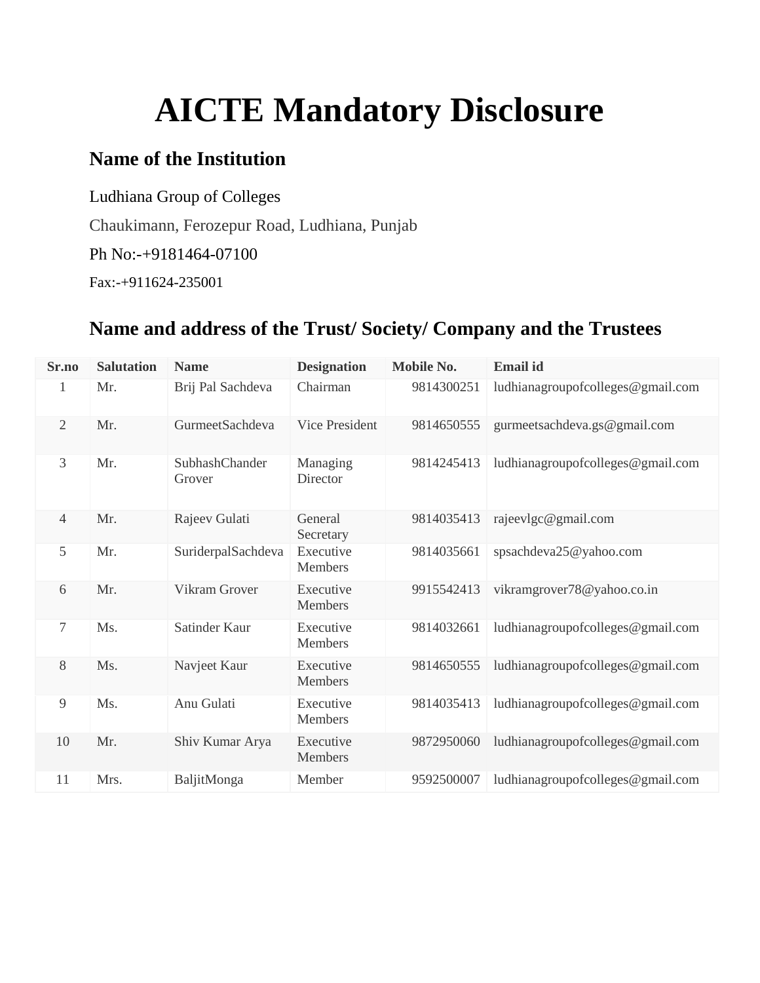# **AICTE Mandatory Disclosure**

## **Name of the Institution**

Ludhiana Group of Colleges

Chaukimann, Ferozepur Road, Ludhiana, Punjab

Ph No:-+9181464-07100

Fax:-+911624-235001

# **Name and address of the Trust/ Society/ Company and the Trustees**

| Sr.no          | <b>Salutation</b> | <b>Name</b>              | <b>Designation</b>          | <b>Mobile No.</b> | <b>Email id</b>                   |
|----------------|-------------------|--------------------------|-----------------------------|-------------------|-----------------------------------|
| 1              | Mr.               | Brij Pal Sachdeva        | Chairman                    | 9814300251        | ludhianagroupofcolleges@gmail.com |
| $\mathbf{2}$   | Mr.               | GurmeetSachdeva          | Vice President              | 9814650555        | gurmeetsachdeva.gs@gmail.com      |
| 3              | Mr.               | SubhashChander<br>Grover | Managing<br>Director        | 9814245413        | ludhianagroupofcolleges@gmail.com |
| $\overline{4}$ | Mr.               | Rajeev Gulati            | General<br>Secretary        | 9814035413        | rajeevlgc@gmail.com               |
| 5              | Mr.               | SuriderpalSachdeva       | Executive<br>Members        | 9814035661        | spsachdeva25@yahoo.com            |
| 6              | Mr.               | Vikram Grover            | Executive<br>Members        | 9915542413        | vikramgrover78@yahoo.co.in        |
| $\tau$         | Ms.               | Satinder Kaur            | Executive<br>Members        | 9814032661        | ludhianagroupofcolleges@gmail.com |
| 8              | Ms.               | Navjeet Kaur             | Executive<br>Members        | 9814650555        | ludhianagroupofcolleges@gmail.com |
| 9              | Ms.               | Anu Gulati               | Executive<br><b>Members</b> | 9814035413        | ludhianagroupofcolleges@gmail.com |
| 10             | Mr.               | Shiv Kumar Arya          | Executive<br>Members        | 9872950060        | ludhianagroupofcolleges@gmail.com |
| 11             | Mrs.              | BaljitMonga              | Member                      | 9592500007        | ludhianagroupofcolleges@gmail.com |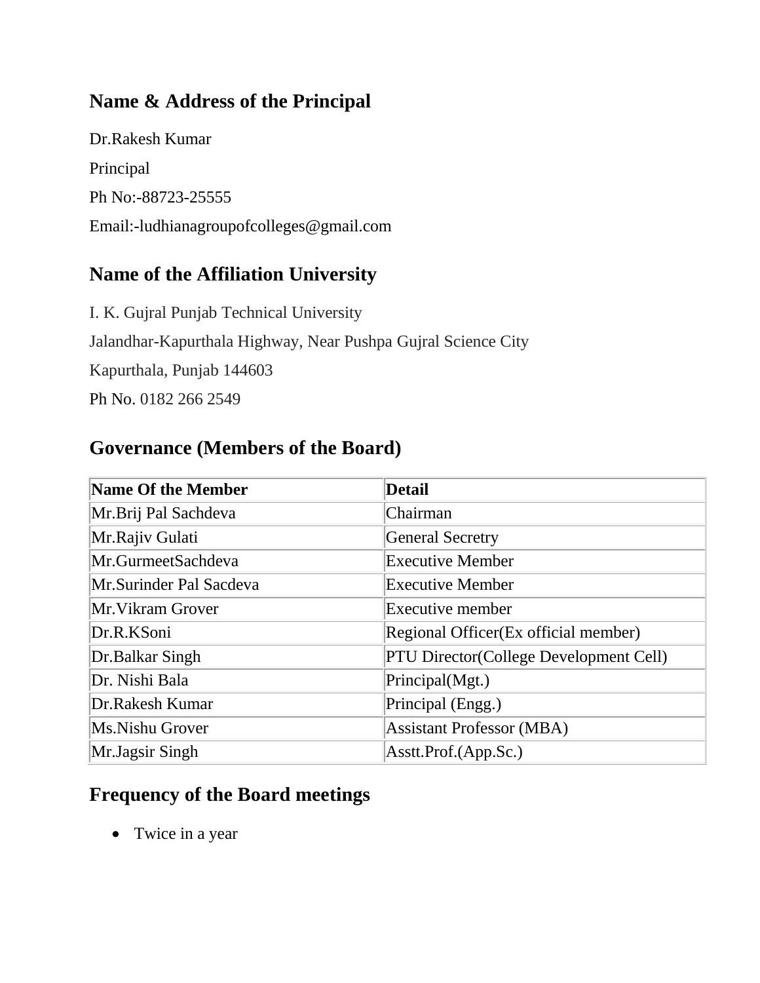# **Name & Address of the Principal**

Dr.Rakesh Kumar Principal Ph No:-88723-25555 Email:-ludhianagroupofcolleges@gmail.com

### **Name of the Affiliation University**

I. K. Gujral Punjab Technical University Jalandhar-Kapurthala Highway, Near Pushpa Gujral Science City Kapurthala, Punjab 144603 Ph No. 0182 266 2549

#### **Governance (Members of the Board)**

| Name Of the Member      | <b>Detail</b>                                 |
|-------------------------|-----------------------------------------------|
| Mr.Brij Pal Sachdeva    | Chairman                                      |
| Mr.Rajiv Gulati         | <b>General Secretry</b>                       |
| Mr.GurmeetSachdeva      | <b>Executive Member</b>                       |
| Mr.Surinder Pal Sacdeva | <b>Executive Member</b>                       |
| Mr. Vikram Grover       | <b>Executive member</b>                       |
| Dr.R.KSoni              | Regional Officer (Ex official member)         |
| Dr.Balkar Singh         | <b>PTU Director(College Development Cell)</b> |
| Dr. Nishi Bala          | Principal(Mgt.)                               |
| Dr.Rakesh Kumar         | Principal (Engg.)                             |
| Ms.Nishu Grover         | <b>Assistant Professor (MBA)</b>              |
| Mr.Jagsir Singh         | Asstt.Prof.(App.Sc.)                          |

## **Frequency of the Board meetings**

• Twice in a year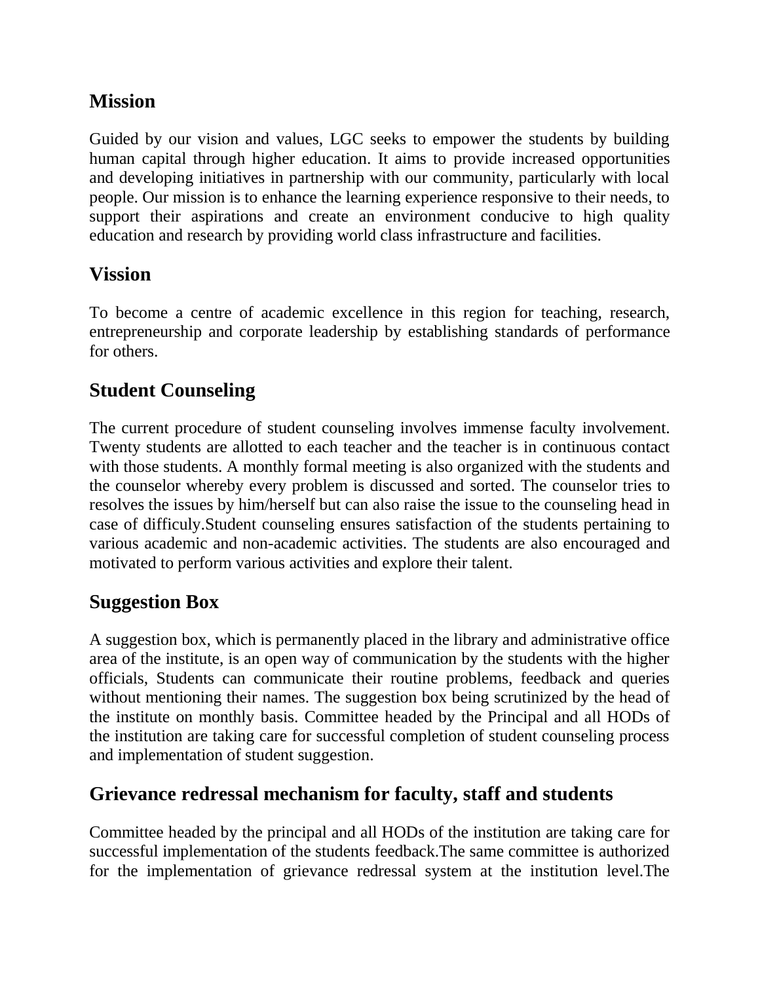## **Mission**

Guided by our vision and values, LGC seeks to empower the students by building human capital through higher education. It aims to provide increased opportunities and developing initiatives in partnership with our community, particularly with local people. Our mission is to enhance the learning experience responsive to their needs, to support their aspirations and create an environment conducive to high quality education and research by providing world class infrastructure and facilities.

#### **Vission**

To become a centre of academic excellence in this region for teaching, research, entrepreneurship and corporate leadership by establishing standards of performance for others.

## **Student Counseling**

The current procedure of student counseling involves immense faculty involvement. Twenty students are allotted to each teacher and the teacher is in continuous contact with those students. A monthly formal meeting is also organized with the students and the counselor whereby every problem is discussed and sorted. The counselor tries to resolves the issues by him/herself but can also raise the issue to the counseling head in case of difficuly.Student counseling ensures satisfaction of the students pertaining to various academic and non-academic activities. The students are also encouraged and motivated to perform various activities and explore their talent.

#### **Suggestion Box**

A suggestion box, which is permanently placed in the library and administrative office area of the institute, is an open way of communication by the students with the higher officials, Students can communicate their routine problems, feedback and queries without mentioning their names. The suggestion box being scrutinized by the head of the institute on monthly basis. Committee headed by the Principal and all HODs of the institution are taking care for successful completion of student counseling process and implementation of student suggestion.

## **Grievance redressal mechanism for faculty, staff and students**

Committee headed by the principal and all HODs of the institution are taking care for successful implementation of the students feedback.The same committee is authorized for the implementation of grievance redressal system at the institution level.The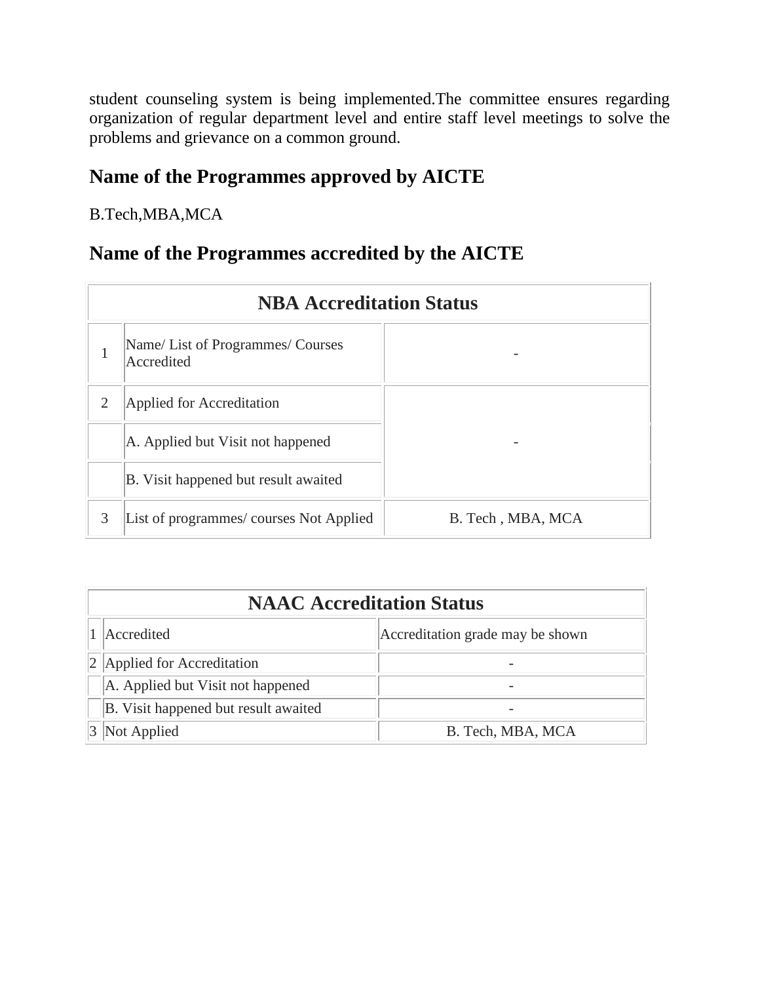student counseling system is being implemented.The committee ensures regarding organization of regular department level and entire staff level meetings to solve the problems and grievance on a common ground.

## **Name of the Programmes approved by AICTE**

B.Tech,MBA,MCA

#### **Name of the Programmes accredited by the AICTE**

|   | <b>NBA Accreditation Status</b>               |                   |  |  |  |
|---|-----------------------------------------------|-------------------|--|--|--|
| 1 | Name/List of Programmes/Courses<br>Accredited |                   |  |  |  |
| 2 | Applied for Accreditation                     |                   |  |  |  |
|   | A. Applied but Visit not happened             |                   |  |  |  |
|   | B. Visit happened but result awaited          |                   |  |  |  |
| 3 | List of programmes/courses Not Applied        | B. Tech, MBA, MCA |  |  |  |

| <b>NAAC Accreditation Status</b>     |                                  |  |  |
|--------------------------------------|----------------------------------|--|--|
| Accredited                           | Accreditation grade may be shown |  |  |
| 2 Applied for Accreditation          |                                  |  |  |
| A. Applied but Visit not happened    |                                  |  |  |
| B. Visit happened but result awaited |                                  |  |  |
| 3 Not Applied                        | B. Tech, MBA, MCA                |  |  |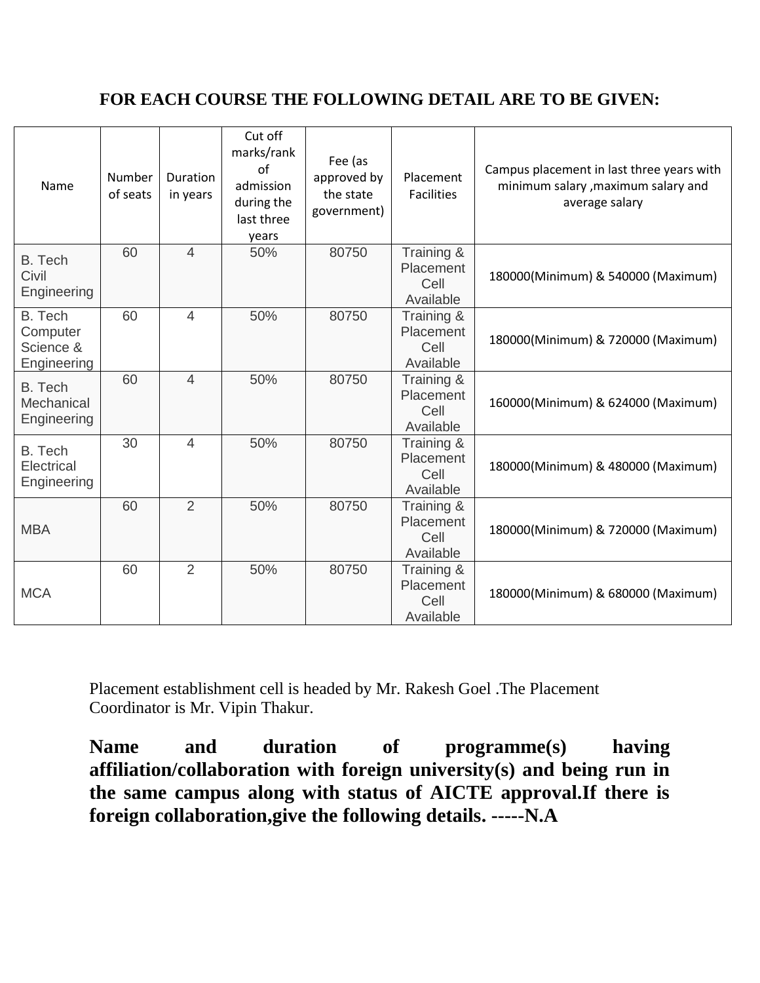#### **FOR EACH COURSE THE FOLLOWING DETAIL ARE TO BE GIVEN:**

| Name                                            | Number<br>of seats | <b>Duration</b><br>in years | Cut off<br>marks/rank<br>$\alpha$ f<br>admission<br>during the<br>last three<br>years | Fee (as<br>approved by<br>the state<br>government) | Placement<br><b>Facilities</b>               | Campus placement in last three years with<br>minimum salary , maximum salary and<br>average salary |
|-------------------------------------------------|--------------------|-----------------------------|---------------------------------------------------------------------------------------|----------------------------------------------------|----------------------------------------------|----------------------------------------------------------------------------------------------------|
| B. Tech<br>Civil<br>Engineering                 | 60                 | $\overline{4}$              | 50%                                                                                   | 80750                                              | Training &<br>Placement<br>Cell<br>Available | 180000(Minimum) & 540000 (Maximum)                                                                 |
| B. Tech<br>Computer<br>Science &<br>Engineering | 60                 | $\overline{4}$              | 50%                                                                                   | 80750                                              | Training &<br>Placement<br>Cell<br>Available | 180000(Minimum) & 720000 (Maximum)                                                                 |
| B. Tech<br>Mechanical<br>Engineering            | 60                 | $\overline{4}$              | 50%                                                                                   | 80750                                              | Training &<br>Placement<br>Cell<br>Available | 160000(Minimum) & 624000 (Maximum)                                                                 |
| B. Tech<br>Electrical<br>Engineering            | 30                 | 4                           | 50%                                                                                   | 80750                                              | Training &<br>Placement<br>Cell<br>Available | 180000(Minimum) & 480000 (Maximum)                                                                 |
| <b>MBA</b>                                      | 60                 | $\overline{2}$              | 50%                                                                                   | 80750                                              | Training &<br>Placement<br>Cell<br>Available | 180000(Minimum) & 720000 (Maximum)                                                                 |
| <b>MCA</b>                                      | 60                 | 2                           | 50%                                                                                   | 80750                                              | Training &<br>Placement<br>Cell<br>Available | 180000(Minimum) & 680000 (Maximum)                                                                 |

Placement establishment cell is headed by Mr. Rakesh Goel .The Placement Coordinator is Mr. Vipin Thakur.

**Name and duration of programme(s) having affiliation/collaboration with foreign university(s) and being run in the same campus along with status of AICTE approval.If there is foreign collaboration,give the following details. -----N.A**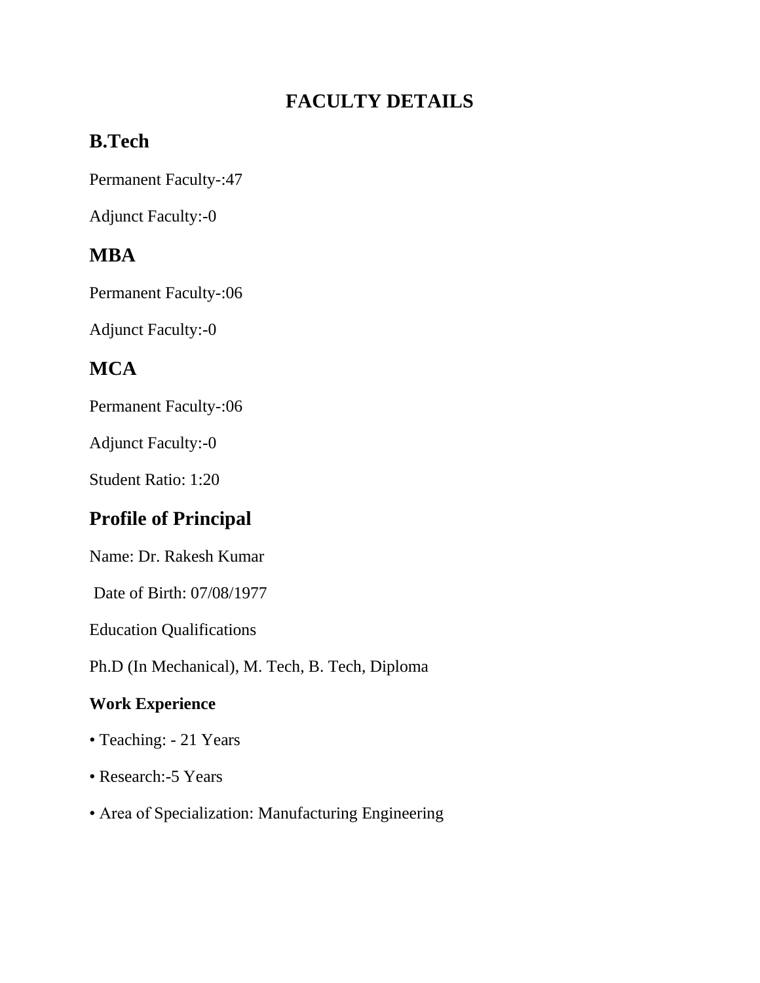# **FACULTY DETAILS**

# **B.Tech**

Permanent Faculty-:47

Adjunct Faculty:-0

# **MBA**

Permanent Faculty-:06

Adjunct Faculty:-0

# **MCA**

Permanent Faculty-:06

Adjunct Faculty:-0

Student Ratio: 1:20

# **Profile of Principal**

Name: Dr. Rakesh Kumar

Date of Birth: 07/08/1977

Education Qualifications

Ph.D (In Mechanical), M. Tech, B. Tech, Diploma

#### **Work Experience**

- Teaching: 21 Years
- Research:-5 Years
- Area of Specialization: Manufacturing Engineering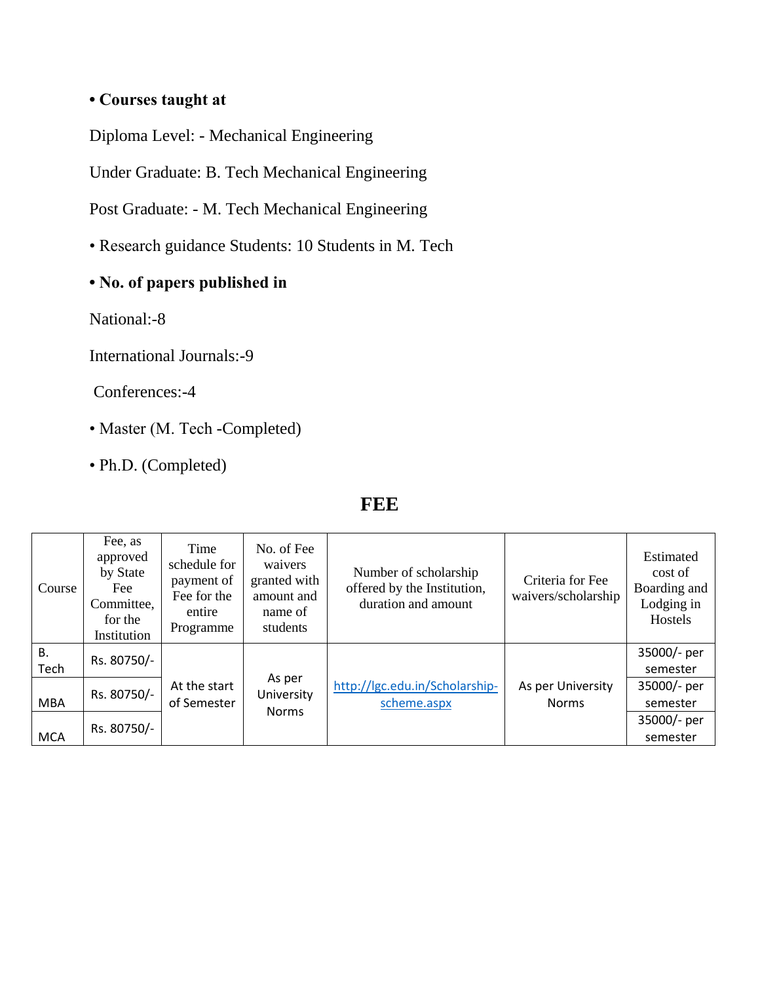#### **• Courses taught at**

Diploma Level: - Mechanical Engineering

Under Graduate: B. Tech Mechanical Engineering

Post Graduate: - M. Tech Mechanical Engineering

- Research guidance Students: 10 Students in M. Tech
- **No. of papers published in**

National:-8

International Journals:-9

Conferences:-4

- Master (M. Tech -Completed)
- Ph.D. (Completed)

#### **FEE**

| Course            | Fee, as<br>approved<br>by State<br>Fee<br>Committee,<br>for the<br>Institution | Time<br>schedule for<br>payment of<br>Fee for the<br>entire<br>Programme | No. of Fee<br>waivers<br>granted with<br>amount and<br>name of<br>students | Number of scholarship<br>offered by the Institution,<br>duration and amount | Criteria for Fee<br>waivers/scholarship | Estimated<br>cost of<br>Boarding and<br>Lodging in<br>Hostels |
|-------------------|--------------------------------------------------------------------------------|--------------------------------------------------------------------------|----------------------------------------------------------------------------|-----------------------------------------------------------------------------|-----------------------------------------|---------------------------------------------------------------|
| <b>B.</b><br>Tech | Rs. 80750/-                                                                    |                                                                          |                                                                            |                                                                             |                                         | 35000/- per<br>semester                                       |
| <b>MBA</b>        | Rs. 80750/-                                                                    | At the start<br>of Semester                                              | As per<br>University                                                       | http://lgc.edu.in/Scholarship-<br>scheme.aspx                               | As per University<br><b>Norms</b>       | 35000/- per<br>semester                                       |
| <b>MCA</b>        | Rs. 80750/-                                                                    |                                                                          | <b>Norms</b>                                                               |                                                                             |                                         | 35000/- per<br>semester                                       |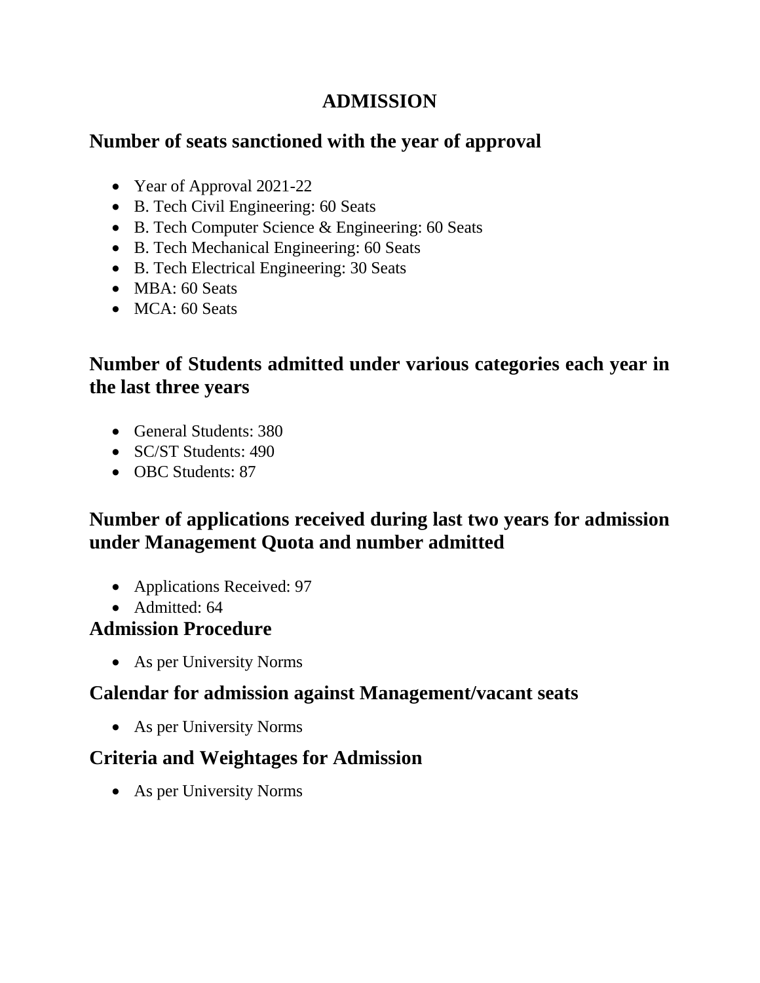## **ADMISSION**

#### **Number of seats sanctioned with the year of approval**

- Year of Approval 2021-22
- B. Tech Civil Engineering: 60 Seats
- B. Tech Computer Science & Engineering: 60 Seats
- B. Tech Mechanical Engineering: 60 Seats
- B. Tech Electrical Engineering: 30 Seats
- MBA: 60 Seats
- MCA: 60 Seats

### **Number of Students admitted under various categories each year in the last three years**

- General Students: 380
- SC/ST Students: 490
- OBC Students: 87

### **Number of applications received during last two years for admission under Management Quota and number admitted**

- Applications Received: 97
- Admitted: 64

#### **Admission Procedure**

• As per University Norms

#### **Calendar for admission against Management/vacant seats**

• As per University Norms

## **Criteria and Weightages for Admission**

• As per University Norms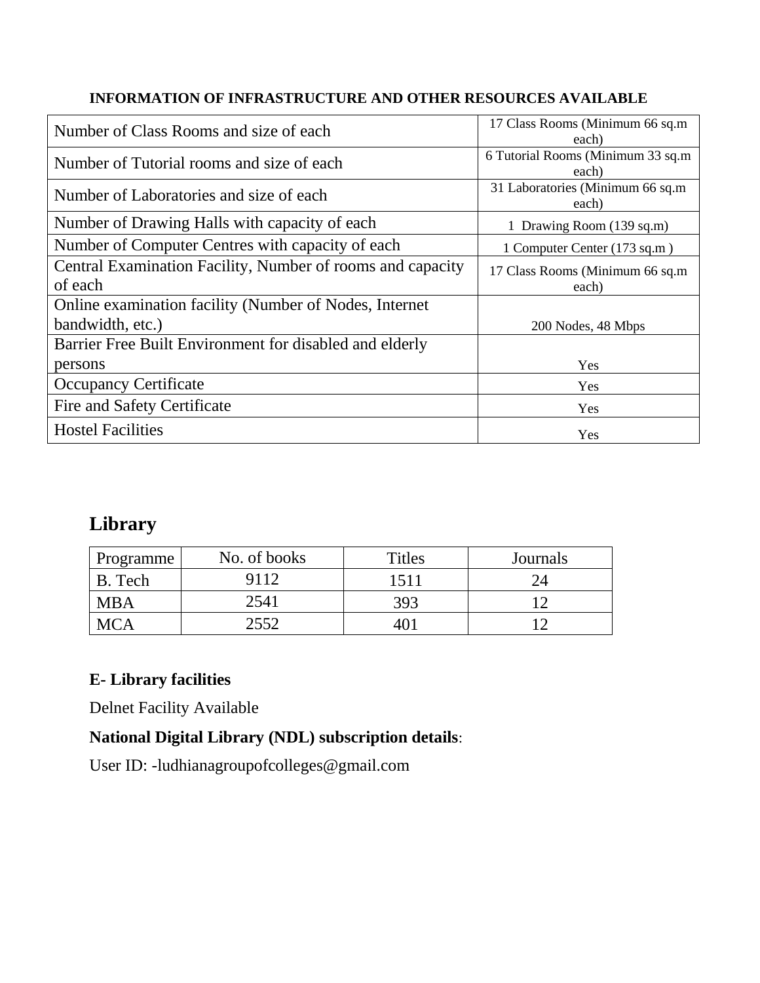#### **INFORMATION OF INFRASTRUCTURE AND OTHER RESOURCES AVAILABLE**

| Number of Class Rooms and size of each                                | 17 Class Rooms (Minimum 66 sq.m)<br>each)  |
|-----------------------------------------------------------------------|--------------------------------------------|
| Number of Tutorial rooms and size of each                             | 6 Tutorial Rooms (Minimum 33 sq.m<br>each) |
| Number of Laboratories and size of each                               | 31 Laboratories (Minimum 66 sq.m<br>each)  |
| Number of Drawing Halls with capacity of each                         | 1 Drawing Room (139 sq.m)                  |
| Number of Computer Centres with capacity of each                      | 1 Computer Center (173 sq.m)               |
| Central Examination Facility, Number of rooms and capacity<br>of each | 17 Class Rooms (Minimum 66 sq.m)<br>each)  |
| Online examination facility (Number of Nodes, Internet                |                                            |
| bandwidth, etc.)                                                      | 200 Nodes, 48 Mbps                         |
| Barrier Free Built Environment for disabled and elderly               |                                            |
| persons                                                               | Yes                                        |
| <b>Occupancy Certificate</b>                                          | Yes                                        |
| Fire and Safety Certificate                                           | Yes                                        |
| <b>Hostel Facilities</b>                                              | Yes                                        |

## **Library**

| Programme  | No. of books | <b>Titles</b> | Journals |
|------------|--------------|---------------|----------|
| Tech       | 9112         | 1511          |          |
| <b>MBA</b> | 2541         | 393           |          |
|            | 2552         | 40.           |          |

#### **E- Library facilities**

Delnet Facility Available

#### **National Digital Library (NDL) subscription details**:

User ID: -ludhianagroupofcolleges@gmail.com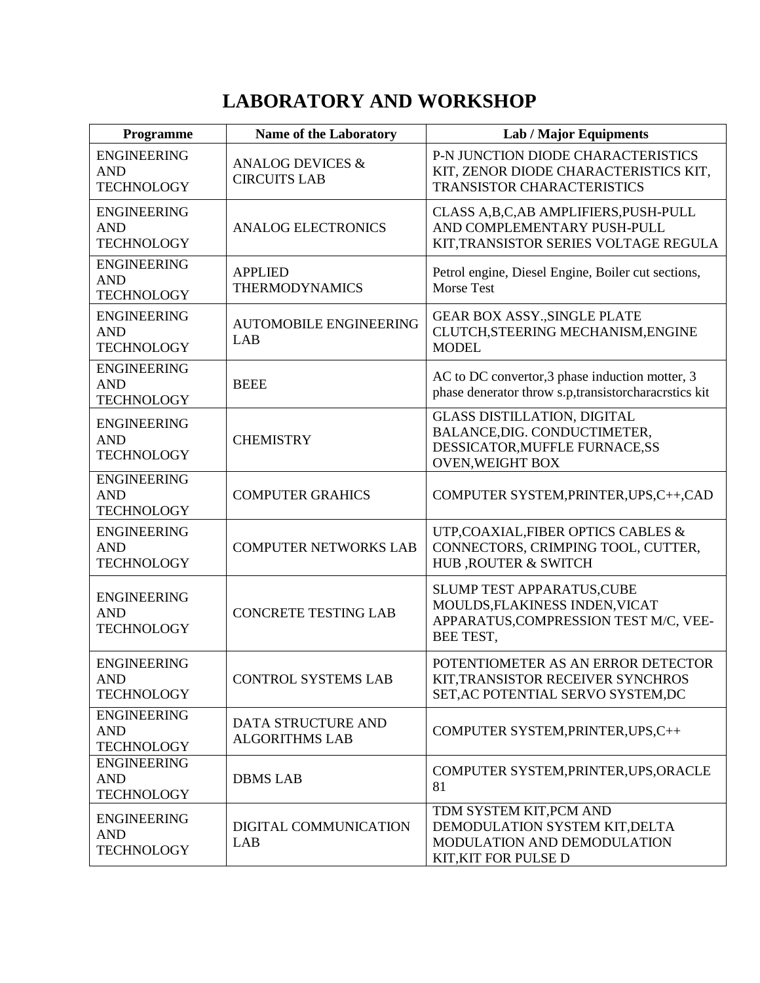# **LABORATORY AND WORKSHOP**

| Programme                                             | <b>Name of the Laboratory</b>                      | <b>Lab / Major Equipments</b>                                                                                                   |
|-------------------------------------------------------|----------------------------------------------------|---------------------------------------------------------------------------------------------------------------------------------|
| <b>ENGINEERING</b><br><b>AND</b><br><b>TECHNOLOGY</b> | <b>ANALOG DEVICES &amp;</b><br><b>CIRCUITS LAB</b> | P-N JUNCTION DIODE CHARACTERISTICS<br>KIT, ZENOR DIODE CHARACTERISTICS KIT,<br><b>TRANSISTOR CHARACTERISTICS</b>                |
| <b>ENGINEERING</b><br><b>AND</b><br><b>TECHNOLOGY</b> | <b>ANALOG ELECTRONICS</b>                          | CLASS A,B,C,AB AMPLIFIERS,PUSH-PULL<br>AND COMPLEMENTARY PUSH-PULL<br>KIT, TRANSISTOR SERIES VOLTAGE REGULA                     |
| <b>ENGINEERING</b><br><b>AND</b><br><b>TECHNOLOGY</b> | <b>APPLIED</b><br><b>THERMODYNAMICS</b>            | Petrol engine, Diesel Engine, Boiler cut sections,<br><b>Morse Test</b>                                                         |
| <b>ENGINEERING</b><br><b>AND</b><br><b>TECHNOLOGY</b> | <b>AUTOMOBILE ENGINEERING</b><br>LAB               | <b>GEAR BOX ASSY., SINGLE PLATE</b><br>CLUTCH, STEERING MECHANISM, ENGINE<br><b>MODEL</b>                                       |
| <b>ENGINEERING</b><br><b>AND</b><br><b>TECHNOLOGY</b> | <b>BEEE</b>                                        | AC to DC convertor, 3 phase induction motter, 3<br>phase denerator throw s.p,transistorcharacrstics kit                         |
| <b>ENGINEERING</b><br><b>AND</b><br><b>TECHNOLOGY</b> | <b>CHEMISTRY</b>                                   | <b>GLASS DISTILLATION, DIGITAL</b><br>BALANCE, DIG. CONDUCTIMETER,<br>DESSICATOR, MUFFLE FURNACE, SS<br><b>OVEN, WEIGHT BOX</b> |
| <b>ENGINEERING</b><br><b>AND</b><br><b>TECHNOLOGY</b> | <b>COMPUTER GRAHICS</b>                            | COMPUTER SYSTEM, PRINTER, UPS, C++, CAD                                                                                         |
| <b>ENGINEERING</b><br><b>AND</b><br><b>TECHNOLOGY</b> | <b>COMPUTER NETWORKS LAB</b>                       | UTP, COAXIAL, FIBER OPTICS CABLES &<br>CONNECTORS, CRIMPING TOOL, CUTTER,<br>HUB, ROUTER & SWITCH                               |
| <b>ENGINEERING</b><br><b>AND</b><br><b>TECHNOLOGY</b> | <b>CONCRETE TESTING LAB</b>                        | SLUMP TEST APPARATUS, CUBE<br>MOULDS, FLAKINESS INDEN, VICAT<br>APPARATUS, COMPRESSION TEST M/C, VEE-<br>BEE TEST,              |
| <b>ENGINEERING</b><br>AND<br><b>TECHNOLOGY</b>        | <b>CONTROL SYSTEMS LAB</b>                         | POTENTIOMETER AS AN ERROR DETECTOR<br>KIT, TRANSISTOR RECEIVER SYNCHROS<br>SET, AC POTENTIAL SERVO SYSTEM, DC                   |
| <b>ENGINEERING</b><br><b>AND</b><br><b>TECHNOLOGY</b> | <b>DATA STRUCTURE AND</b><br><b>ALGORITHMS LAB</b> | COMPUTER SYSTEM, PRINTER, UPS, C++                                                                                              |
| <b>ENGINEERING</b><br><b>AND</b><br><b>TECHNOLOGY</b> | <b>DBMS LAB</b>                                    | COMPUTER SYSTEM, PRINTER, UPS, ORACLE<br>81                                                                                     |
| <b>ENGINEERING</b><br><b>AND</b><br><b>TECHNOLOGY</b> | DIGITAL COMMUNICATION<br>LAB                       | TDM SYSTEM KIT, PCM AND<br>DEMODULATION SYSTEM KIT, DELTA<br>MODULATION AND DEMODULATION<br>KIT, KIT FOR PULSE D                |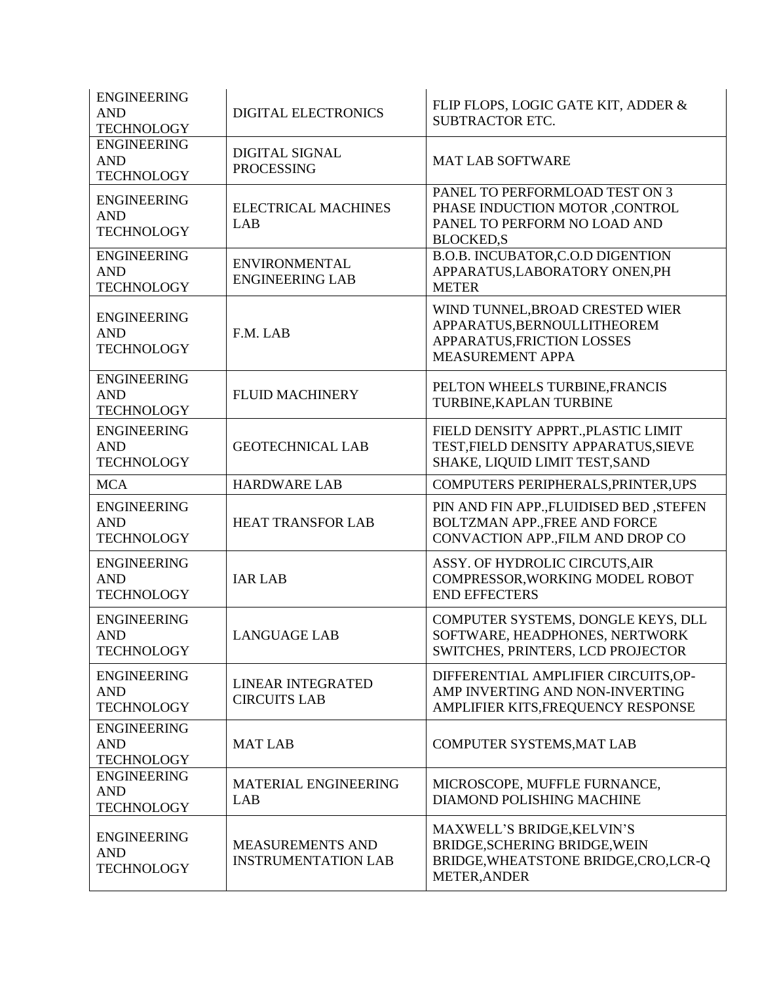| <b>ENGINEERING</b><br><b>AND</b><br><b>TECHNOLOGY</b> | <b>DIGITAL ELECTRONICS</b>                            | FLIP FLOPS, LOGIC GATE KIT, ADDER &<br><b>SUBTRACTOR ETC.</b>                                                               |
|-------------------------------------------------------|-------------------------------------------------------|-----------------------------------------------------------------------------------------------------------------------------|
| <b>ENGINEERING</b><br><b>AND</b><br><b>TECHNOLOGY</b> | <b>DIGITAL SIGNAL</b><br><b>PROCESSING</b>            | <b>MAT LAB SOFTWARE</b>                                                                                                     |
| <b>ENGINEERING</b><br><b>AND</b><br><b>TECHNOLOGY</b> | <b>ELECTRICAL MACHINES</b><br>LAB                     | PANEL TO PERFORMLOAD TEST ON 3<br>PHASE INDUCTION MOTOR ,CONTROL<br>PANEL TO PERFORM NO LOAD AND<br><b>BLOCKED,S</b>        |
| <b>ENGINEERING</b><br><b>AND</b><br><b>TECHNOLOGY</b> | <b>ENVIRONMENTAL</b><br><b>ENGINEERING LAB</b>        | B.O.B. INCUBATOR, C.O.D DIGENTION<br>APPARATUS, LABORATORY ONEN, PH<br><b>METER</b>                                         |
| <b>ENGINEERING</b><br><b>AND</b><br><b>TECHNOLOGY</b> | F.M. LAB                                              | WIND TUNNEL, BROAD CRESTED WIER<br>APPARATUS, BERNOULLITHEOREM<br>APPARATUS, FRICTION LOSSES<br><b>MEASUREMENT APPA</b>     |
| <b>ENGINEERING</b><br><b>AND</b><br><b>TECHNOLOGY</b> | <b>FLUID MACHINERY</b>                                | PELTON WHEELS TURBINE, FRANCIS<br>TURBINE, KAPLAN TURBINE                                                                   |
| <b>ENGINEERING</b><br><b>AND</b><br><b>TECHNOLOGY</b> | <b>GEOTECHNICAL LAB</b>                               | FIELD DENSITY APPRT., PLASTIC LIMIT<br>TEST, FIELD DENSITY APPARATUS, SIEVE<br>SHAKE, LIQUID LIMIT TEST, SAND               |
| <b>MCA</b>                                            | <b>HARDWARE LAB</b>                                   | COMPUTERS PERIPHERALS, PRINTER, UPS                                                                                         |
| <b>ENGINEERING</b><br><b>AND</b><br><b>TECHNOLOGY</b> | <b>HEAT TRANSFOR LAB</b>                              | PIN AND FIN APP., FLUIDISED BED, STEFEN<br><b>BOLTZMAN APP., FREE AND FORCE</b><br>CONVACTION APP., FILM AND DROP CO        |
| <b>ENGINEERING</b><br><b>AND</b><br><b>TECHNOLOGY</b> | <b>IAR LAB</b>                                        | ASSY. OF HYDROLIC CIRCUTS, AIR<br>COMPRESSOR, WORKING MODEL ROBOT<br><b>END EFFECTERS</b>                                   |
| <b>ENGINEERING</b><br><b>AND</b><br><b>TECHNOLOGY</b> | <b>LANGUAGE LAB</b>                                   | COMPUTER SYSTEMS, DONGLE KEYS, DLL<br>SOFTWARE, HEADPHONES, NERTWORK<br>SWITCHES, PRINTERS, LCD PROJECTOR                   |
| <b>ENGINEERING</b><br><b>AND</b><br><b>TECHNOLOGY</b> | <b>LINEAR INTEGRATED</b><br><b>CIRCUITS LAB</b>       | DIFFERENTIAL AMPLIFIER CIRCUITS, OP-<br>AMP INVERTING AND NON-INVERTING<br>AMPLIFIER KITS, FREQUENCY RESPONSE               |
| <b>ENGINEERING</b><br><b>AND</b><br><b>TECHNOLOGY</b> | <b>MAT LAB</b>                                        | COMPUTER SYSTEMS, MAT LAB                                                                                                   |
| <b>ENGINEERING</b><br><b>AND</b><br><b>TECHNOLOGY</b> | <b>MATERIAL ENGINEERING</b><br>LAB                    | MICROSCOPE, MUFFLE FURNANCE,<br>DIAMOND POLISHING MACHINE                                                                   |
| <b>ENGINEERING</b><br><b>AND</b><br><b>TECHNOLOGY</b> | <b>MEASUREMENTS AND</b><br><b>INSTRUMENTATION LAB</b> | MAXWELL'S BRIDGE, KELVIN'S<br>BRIDGE, SCHERING BRIDGE, WEIN<br>BRIDGE, WHEATSTONE BRIDGE, CRO, LCR-Q<br><b>METER, ANDER</b> |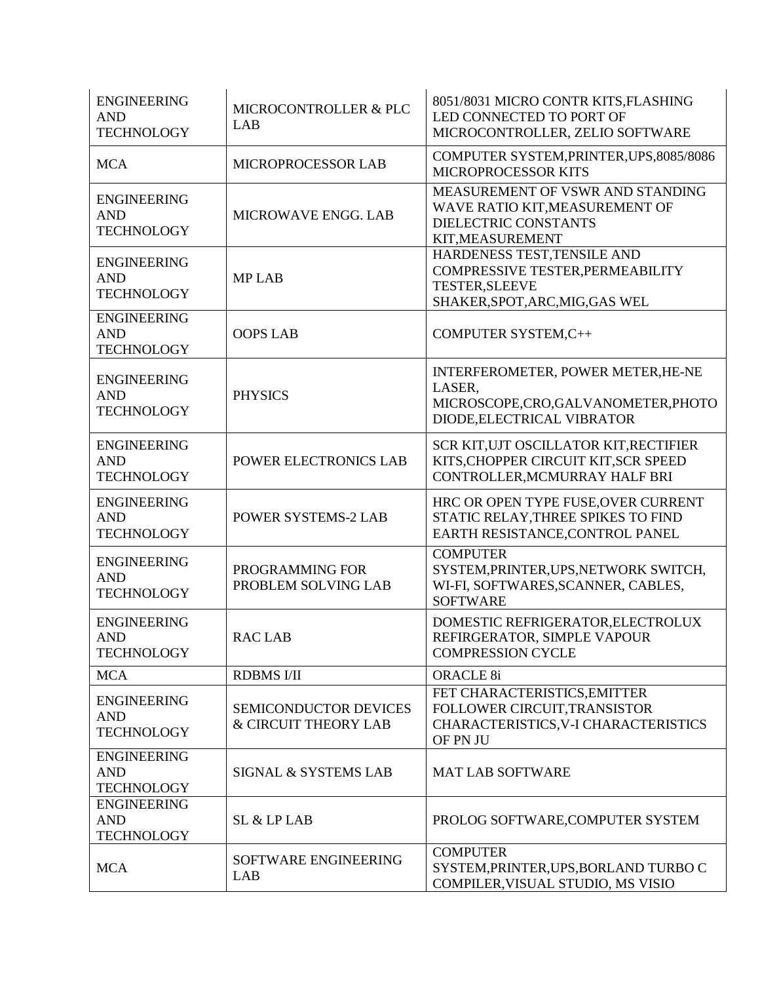| <b>ENGINEERING</b><br><b>AND</b><br><b>TECHNOLOGY</b> | MICROCONTROLLER & PLC<br>LAB                                    | 8051/8031 MICRO CONTR KITS, FLASHING<br>LED CONNECTED TO PORT OF<br>MICROCONTROLLER, ZELIO SOFTWARE                         |
|-------------------------------------------------------|-----------------------------------------------------------------|-----------------------------------------------------------------------------------------------------------------------------|
| <b>MCA</b>                                            | <b>MICROPROCESSOR LAB</b>                                       | COMPUTER SYSTEM, PRINTER, UPS, 8085/8086<br>MICROPROCESSOR KITS                                                             |
| <b>ENGINEERING</b><br><b>AND</b><br><b>TECHNOLOGY</b> | MICROWAVE ENGG. LAB                                             | MEASUREMENT OF VSWR AND STANDING<br>WAVE RATIO KIT, MEASUREMENT OF<br>DIELECTRIC CONSTANTS<br>KIT, MEASUREMENT              |
| <b>ENGINEERING</b><br><b>AND</b><br><b>TECHNOLOGY</b> | <b>MPLAB</b>                                                    | HARDENESS TEST, TENSILE AND<br>COMPRESSIVE TESTER, PERMEABILITY<br><b>TESTER, SLEEVE</b><br>SHAKER, SPOT, ARC, MIG, GAS WEL |
| <b>ENGINEERING</b><br><b>AND</b><br><b>TECHNOLOGY</b> | <b>OOPS LAB</b>                                                 | COMPUTER SYSTEM, C++                                                                                                        |
| <b>ENGINEERING</b><br><b>AND</b><br><b>TECHNOLOGY</b> | <b>PHYSICS</b>                                                  | INTERFEROMETER, POWER METER, HE-NE<br>LASER,<br>MICROSCOPE,CRO,GALVANOMETER,PHOTO<br>DIODE, ELECTRICAL VIBRATOR             |
| <b>ENGINEERING</b><br><b>AND</b><br><b>TECHNOLOGY</b> | POWER ELECTRONICS LAB                                           | SCR KIT, UJT OSCILLATOR KIT, RECTIFIER<br>KITS, CHOPPER CIRCUIT KIT, SCR SPEED<br>CONTROLLER, MCMURRAY HALF BRI             |
| <b>ENGINEERING</b><br><b>AND</b><br><b>TECHNOLOGY</b> | <b>POWER SYSTEMS-2 LAB</b>                                      | HRC OR OPEN TYPE FUSE, OVER CURRENT<br>STATIC RELAY, THREE SPIKES TO FIND<br>EARTH RESISTANCE, CONTROL PANEL                |
| <b>ENGINEERING</b><br><b>AND</b><br><b>TECHNOLOGY</b> | PROGRAMMING FOR<br>PROBLEM SOLVING LAB                          | <b>COMPUTER</b><br>SYSTEM, PRINTER, UPS, NETWORK SWITCH,<br>WI-FI, SOFTWARES, SCANNER, CABLES,<br><b>SOFTWARE</b>           |
| <b>ENGINEERING</b><br><b>AND</b><br><b>TECHNOLOGY</b> | <b>RACLAB</b>                                                   | DOMESTIC REFRIGERATOR, ELECTROLUX<br>REFIRGERATOR, SIMPLE VAPOUR<br><b>COMPRESSION CYCLE</b>                                |
| <b>MCA</b>                                            | <b>RDBMS I/II</b>                                               | <b>ORACLE 8i</b>                                                                                                            |
| <b>ENGINEERING</b><br><b>AND</b><br><b>TECHNOLOGY</b> | <b>SEMICONDUCTOR DEVICES</b><br><b>&amp; CIRCUIT THEORY LAB</b> | FET CHARACTERISTICS, EMITTER<br>FOLLOWER CIRCUIT, TRANSISTOR<br>CHARACTERISTICS, V-I CHARACTERISTICS<br>OF PN JU            |
| <b>ENGINEERING</b><br><b>AND</b><br><b>TECHNOLOGY</b> | SIGNAL & SYSTEMS LAB                                            | <b>MAT LAB SOFTWARE</b>                                                                                                     |
| <b>ENGINEERING</b><br><b>AND</b><br><b>TECHNOLOGY</b> | SL & LP LAB                                                     | PROLOG SOFTWARE, COMPUTER SYSTEM                                                                                            |
| <b>MCA</b>                                            | SOFTWARE ENGINEERING<br>LAB                                     | <b>COMPUTER</b><br>SYSTEM, PRINTER, UPS, BORLAND TURBO C<br>COMPILER, VISUAL STUDIO, MS VISIO                               |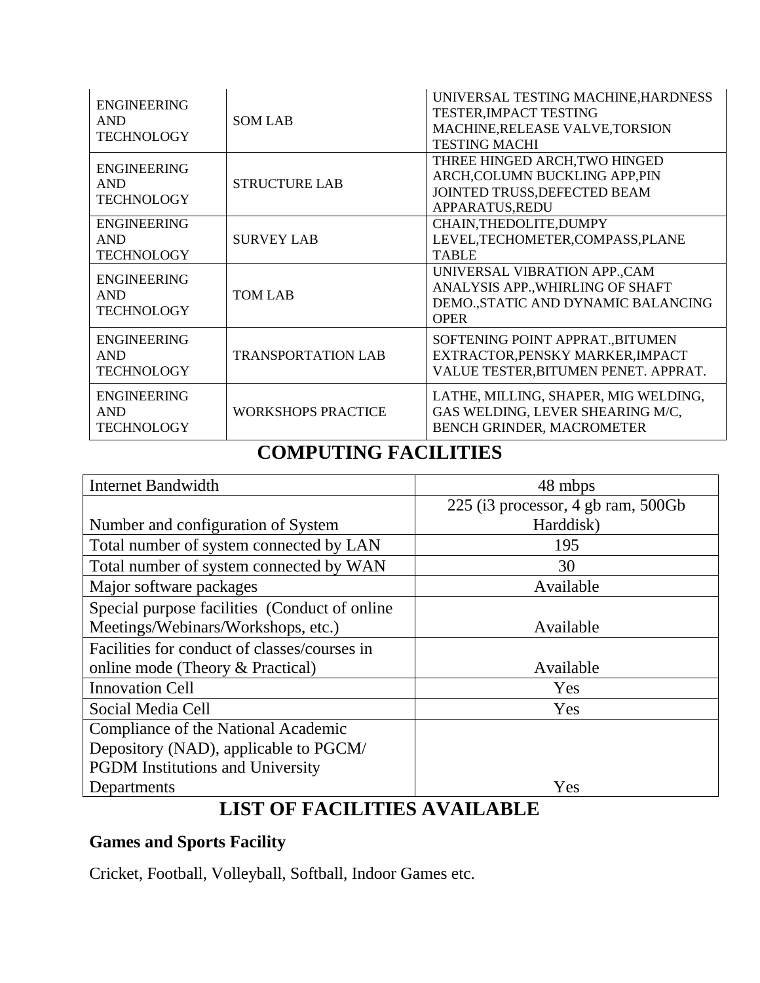| <b>ENGINEERING</b><br><b>AND</b><br><b>TECHNOLOGY</b> | <b>SOM LAB</b>            | UNIVERSAL TESTING MACHINE, HARDNESS<br>TESTER, IMPACT TESTING<br>MACHINE, RELEASE VALVE, TORSION<br><b>TESTING MACHI</b> |
|-------------------------------------------------------|---------------------------|--------------------------------------------------------------------------------------------------------------------------|
| <b>ENGINEERING</b><br><b>AND</b><br><b>TECHNOLOGY</b> | <b>STRUCTURE LAB</b>      | THREE HINGED ARCH, TWO HINGED<br>ARCH, COLUMN BUCKLING APP, PIN<br>JOINTED TRUSS, DEFECTED BEAM<br>APPARATUS, REDU       |
| <b>ENGINEERING</b><br><b>AND</b><br><b>TECHNOLOGY</b> | <b>SURVEY LAB</b>         | CHAIN, THEDOLITE, DUMPY<br>LEVEL, TECHOMETER, COMPASS, PLANE<br><b>TABLE</b>                                             |
| <b>ENGINEERING</b><br><b>AND</b><br><b>TECHNOLOGY</b> | <b>TOM LAB</b>            | UNIVERSAL VIBRATION APP., CAM<br>ANALYSIS APP., WHIRLING OF SHAFT<br>DEMO., STATIC AND DYNAMIC BALANCING<br><b>OPER</b>  |
| <b>ENGINEERING</b><br><b>AND</b><br><b>TECHNOLOGY</b> | <b>TRANSPORTATION LAB</b> | SOFTENING POINT APPRAT., BITUMEN<br>EXTRACTOR, PENSKY MARKER, IMPACT<br>VALUE TESTER, BITUMEN PENET. APPRAT.             |
| <b>ENGINEERING</b><br><b>AND</b><br><b>TECHNOLOGY</b> | <b>WORKSHOPS PRACTICE</b> | LATHE, MILLING, SHAPER, MIG WELDING,<br>GAS WELDING, LEVER SHEARING M/C,<br>BENCH GRINDER, MACROMETER                    |

# **COMPUTING FACILITIES**

| <b>Internet Bandwidth</b>                     | 48 mbps                            |
|-----------------------------------------------|------------------------------------|
|                                               | 225 (i3 processor, 4 gb ram, 500Gb |
| Number and configuration of System            | Harddisk)                          |
| Total number of system connected by LAN       | 195                                |
| Total number of system connected by WAN       | 30                                 |
| Major software packages                       | Available                          |
| Special purpose facilities (Conduct of online |                                    |
| Meetings/Webinars/Workshops, etc.)            | Available                          |
| Facilities for conduct of classes/courses in  |                                    |
| online mode (Theory & Practical)              | Available                          |
| <b>Innovation Cell</b>                        | Yes                                |
| Social Media Cell                             | Yes                                |
| Compliance of the National Academic           |                                    |
| Depository (NAD), applicable to PGCM/         |                                    |
| <b>PGDM</b> Institutions and University       |                                    |
| Departments                                   | Yes                                |

## **LIST OF FACILITIES AVAILABLE**

#### **Games and Sports Facility**

Cricket, Football, Volleyball, Softball, Indoor Games etc.